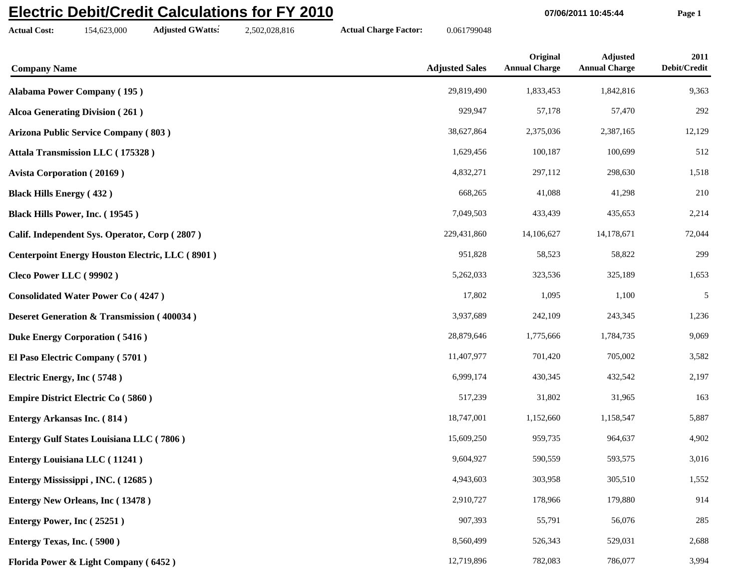## **Electric Debit/Credit Calculations for FY 2010**

**Actual Cost:** 154,623,000 **Adjusted GWatts:** 2,502,028,816 **Actual Charge Factor:** 0.061799048

**07/06/2011 10:45:44 Page 1**

| <b>Company Name</b>                                    | <b>Adjusted Sales</b> | Original<br><b>Annual Charge</b> | <b>Adjusted</b><br><b>Annual Charge</b> | 2011<br>Debit/Credit |
|--------------------------------------------------------|-----------------------|----------------------------------|-----------------------------------------|----------------------|
| <b>Alabama Power Company (195)</b>                     | 29,819,490            | 1,833,453                        | 1,842,816                               | 9,363                |
| <b>Alcoa Generating Division (261)</b>                 | 929,947               | 57,178                           | 57,470                                  | 292                  |
| Arizona Public Service Company (803)                   | 38,627,864            | 2,375,036                        | 2,387,165                               | 12,129               |
| Attala Transmission LLC (175328)                       | 1,629,456             | 100,187                          | 100,699                                 | 512                  |
| <b>Avista Corporation (20169)</b>                      | 4,832,271             | 297,112                          | 298,630                                 | 1,518                |
| <b>Black Hills Energy (432)</b>                        | 668,265               | 41,088                           | 41,298                                  | 210                  |
| Black Hills Power, Inc. (19545)                        | 7,049,503             | 433,439                          | 435,653                                 | 2,214                |
| Calif. Independent Sys. Operator, Corp (2807)          | 229,431,860           | 14,106,627                       | 14,178,671                              | 72,044               |
| <b>Centerpoint Energy Houston Electric, LLC (8901)</b> | 951,828               | 58,523                           | 58,822                                  | 299                  |
| Cleco Power LLC (99902)                                | 5,262,033             | 323,536                          | 325,189                                 | 1,653                |
| <b>Consolidated Water Power Co (4247)</b>              | 17,802                | 1,095                            | 1,100                                   | 5                    |
| <b>Deseret Generation &amp; Transmission (400034)</b>  | 3,937,689             | 242,109                          | 243,345                                 | 1,236                |
| <b>Duke Energy Corporation (5416)</b>                  | 28,879,646            | 1,775,666                        | 1,784,735                               | 9,069                |
| El Paso Electric Company (5701)                        | 11,407,977            | 701,420                          | 705,002                                 | 3,582                |
| Electric Energy, Inc (5748)                            | 6,999,174             | 430,345                          | 432,542                                 | 2,197                |
| <b>Empire District Electric Co (5860)</b>              | 517,239               | 31,802                           | 31,965                                  | 163                  |
| <b>Entergy Arkansas Inc. (814)</b>                     | 18,747,001            | 1,152,660                        | 1,158,547                               | 5,887                |
| <b>Entergy Gulf States Louisiana LLC (7806)</b>        | 15,609,250            | 959,735                          | 964,637                                 | 4,902                |
| <b>Entergy Louisiana LLC</b> (11241)                   | 9,604,927             | 590,559                          | 593,575                                 | 3,016                |
| Entergy Mississippi, INC. (12685)                      | 4,943,603             | 303,958                          | 305,510                                 | 1,552                |
| <b>Entergy New Orleans, Inc (13478)</b>                | 2,910,727             | 178,966                          | 179,880                                 | 914                  |
| Entergy Power, Inc (25251)                             | 907,393               | 55,791                           | 56,076                                  | 285                  |
| Entergy Texas, Inc. (5900)                             | 8,560,499             | 526,343                          | 529,031                                 | 2,688                |
| Florida Power & Light Company (6452)                   | 12,719,896            | 782,083                          | 786,077                                 | 3,994                |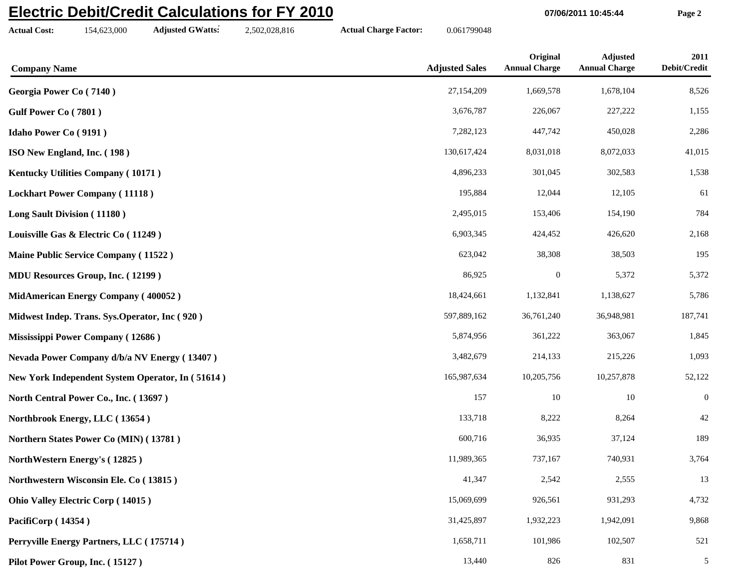## **Electric Debit/Credit Calculations for FY 2010**

**Actual Cost:** 154,623,000 **Adjusted GWatts:** 2,502,028,816 **Actual Charge Factor:** 0.061799048

**07/06/2011 10:45:44 Page 2**

| <b>Company Name</b>                              | <b>Adjusted Sales</b> | Original<br><b>Annual Charge</b> | <b>Adjusted</b><br><b>Annual Charge</b> | 2011<br>Debit/Credit |
|--------------------------------------------------|-----------------------|----------------------------------|-----------------------------------------|----------------------|
| Georgia Power Co (7140)                          | 27,154,209            | 1,669,578                        | 1,678,104                               | 8,526                |
| Gulf Power Co (7801)                             | 3,676,787             | 226,067                          | 227,222                                 | 1,155                |
| <b>Idaho Power Co (9191)</b>                     | 7,282,123             | 447,742                          | 450,028                                 | 2,286                |
| ISO New England, Inc. (198)                      | 130,617,424           | 8,031,018                        | 8,072,033                               | 41,015               |
| <b>Kentucky Utilities Company (10171)</b>        | 4,896,233             | 301,045                          | 302,583                                 | 1,538                |
| <b>Lockhart Power Company (11118)</b>            | 195,884               | 12,044                           | 12,105                                  | 61                   |
| Long Sault Division (11180)                      | 2,495,015             | 153,406                          | 154,190                                 | 784                  |
| Louisville Gas & Electric Co (11249)             | 6,903,345             | 424,452                          | 426,620                                 | 2,168                |
| <b>Maine Public Service Company (11522)</b>      | 623,042               | 38,308                           | 38,503                                  | 195                  |
| <b>MDU Resources Group, Inc. (12199)</b>         | 86,925                | $\boldsymbol{0}$                 | 5,372                                   | 5,372                |
| MidAmerican Energy Company (400052)              | 18,424,661            | 1,132,841                        | 1,138,627                               | 5,786                |
| Midwest Indep. Trans. Sys. Operator, Inc (920)   | 597,889,162           | 36,761,240                       | 36,948,981                              | 187,741              |
| Mississippi Power Company (12686)                | 5,874,956             | 361,222                          | 363,067                                 | 1,845                |
| Nevada Power Company d/b/a NV Energy (13407)     | 3,482,679             | 214,133                          | 215,226                                 | 1,093                |
| New York Independent System Operator, In (51614) | 165,987,634           | 10,205,756                       | 10,257,878                              | 52,122               |
| North Central Power Co., Inc. (13697)            | 157                   | 10                               | $10\,$                                  | $\boldsymbol{0}$     |
| Northbrook Energy, LLC (13654)                   | 133,718               | 8,222                            | 8,264                                   | 42                   |
| Northern States Power Co (MIN) (13781)           | 600,716               | 36,935                           | 37,124                                  | 189                  |
| NorthWestern Energy's (12825)                    | 11,989,365            | 737,167                          | 740,931                                 | 3,764                |
| Northwestern Wisconsin Ele. Co (13815)           | 41,347                | 2,542                            | 2,555                                   | 13                   |
| <b>Ohio Valley Electric Corp (14015)</b>         | 15,069,699            | 926,561                          | 931,293                                 | 4,732                |
| PacifiCorp (14354)                               | 31,425,897            | 1,932,223                        | 1,942,091                               | 9,868                |
| Perryville Energy Partners, LLC (175714)         | 1,658,711             | 101,986                          | 102,507                                 | 521                  |
| Pilot Power Group, Inc. (15127)                  | 13,440                | 826                              | 831                                     | $5\overline{)}$      |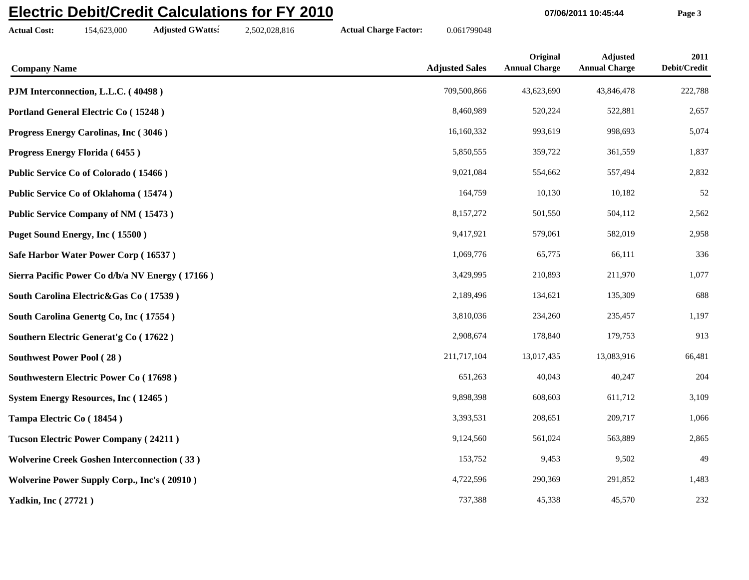## **Electric Debit/Credit Calculations for FY 2010**

**Actual Cost:** 154,623,000 **Adjusted GWatts:** 2,502,028,816 **Actual Charge Factor:** 0.061799048

**07/06/2011 10:45:44 Page 3**

| <b>Company Name</b>                                | <b>Adjusted Sales</b> | Original<br><b>Annual Charge</b> | <b>Adjusted</b><br><b>Annual Charge</b> | 2011<br>Debit/Credit |
|----------------------------------------------------|-----------------------|----------------------------------|-----------------------------------------|----------------------|
| PJM Interconnection, L.L.C. (40498)                | 709,500,866           | 43,623,690                       | 43,846,478                              | 222,788              |
| Portland General Electric Co (15248)               | 8,460,989             | 520,224                          | 522,881                                 | 2,657                |
| Progress Energy Carolinas, Inc (3046)              | 16,160,332            | 993,619                          | 998,693                                 | 5,074                |
| Progress Energy Florida (6455)                     | 5,850,555             | 359,722                          | 361,559                                 | 1,837                |
| Public Service Co of Colorado (15466)              | 9,021,084             | 554,662                          | 557,494                                 | 2,832                |
| Public Service Co of Oklahoma (15474)              | 164,759               | 10,130                           | 10,182                                  | 52                   |
| <b>Public Service Company of NM (15473)</b>        | 8,157,272             | 501,550                          | 504,112                                 | 2,562                |
| Puget Sound Energy, Inc (15500)                    | 9,417,921             | 579,061                          | 582,019                                 | 2,958                |
| Safe Harbor Water Power Corp (16537)               | 1,069,776             | 65,775                           | 66,111                                  | 336                  |
| Sierra Pacific Power Co d/b/a NV Energy (17166)    | 3,429,995             | 210,893                          | 211,970                                 | 1,077                |
| South Carolina Electric&Gas Co (17539)             | 2,189,496             | 134,621                          | 135,309                                 | 688                  |
| South Carolina Genertg Co, Inc (17554)             | 3,810,036             | 234,260                          | 235,457                                 | 1,197                |
| Southern Electric Generat's Co (17622)             | 2,908,674             | 178,840                          | 179,753                                 | 913                  |
| <b>Southwest Power Pool (28)</b>                   | 211,717,104           | 13,017,435                       | 13,083,916                              | 66,481               |
| <b>Southwestern Electric Power Co (17698)</b>      | 651,263               | 40,043                           | 40,247                                  | 204                  |
| <b>System Energy Resources, Inc (12465)</b>        | 9,898,398             | 608,603                          | 611,712                                 | 3,109                |
| Tampa Electric Co (18454)                          | 3,393,531             | 208,651                          | 209,717                                 | 1,066                |
| <b>Tucson Electric Power Company (24211)</b>       | 9,124,560             | 561,024                          | 563,889                                 | 2,865                |
| <b>Wolverine Creek Goshen Interconnection (33)</b> | 153,752               | 9,453                            | 9,502                                   | 49                   |
| <b>Wolverine Power Supply Corp., Inc's (20910)</b> | 4,722,596             | 290,369                          | 291,852                                 | 1,483                |
| <b>Yadkin, Inc (27721)</b>                         | 737,388               | 45,338                           | 45,570                                  | 232                  |